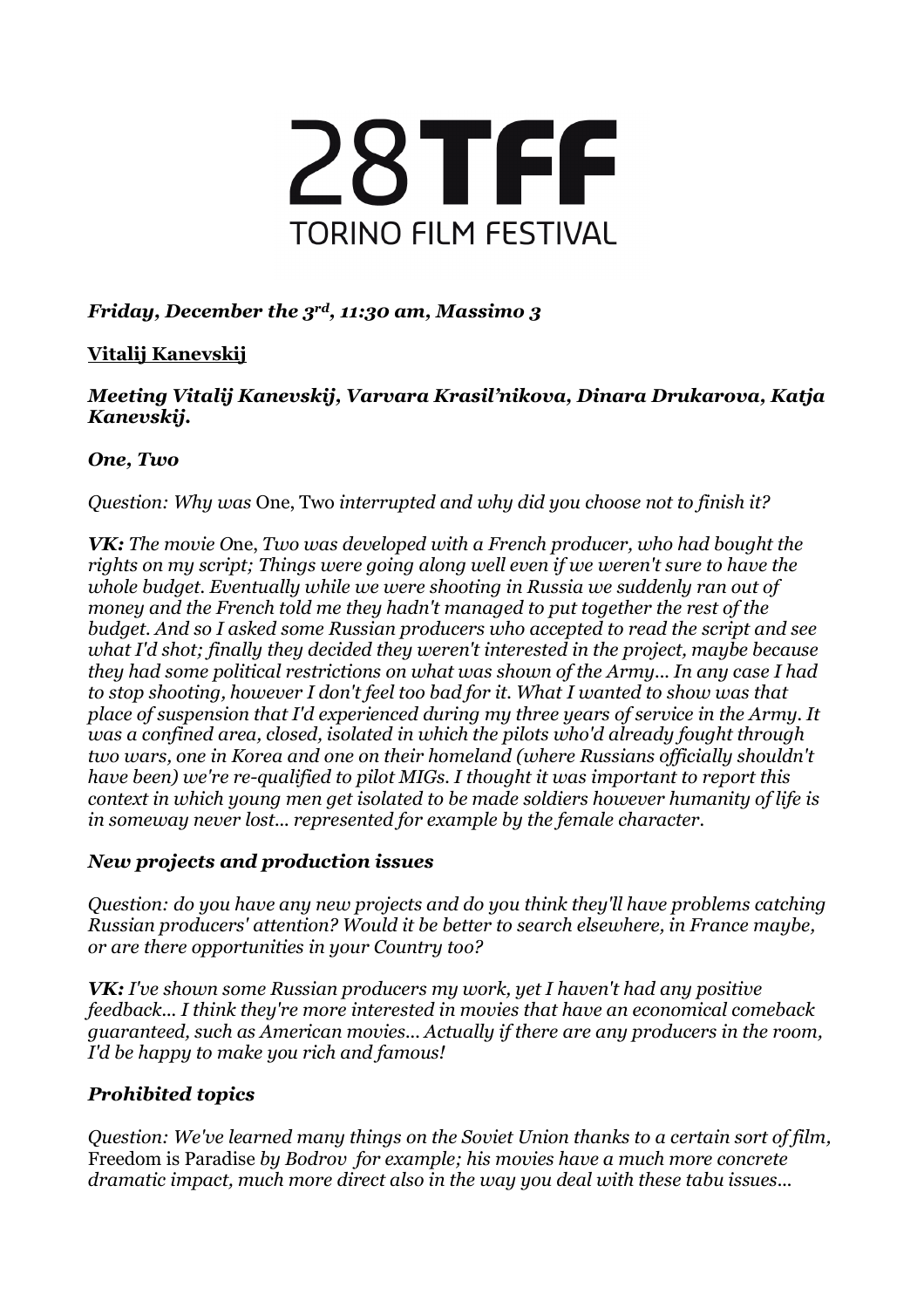

# *Friday, December the 3rd, 11:30 am, Massimo 3*

# **Vitalij Kanevskij**

### *Meeting Vitalij Kanevskij, Varvara Krasil'nikova, Dinara Drukarova, Katja Kanevskij.*

## *One, Two*

*Question: Why was* One, Two *interrupted and why did you choose not to finish it?*

*VK: The movie O*ne, *Two was developed with a French producer, who had bought the rights on my script; Things were going along well even if we weren't sure to have the whole budget. Eventually while we were shooting in Russia we suddenly ran out of money and the French told me they hadn't managed to put together the rest of the budget. And so I asked some Russian producers who accepted to read the script and see what I'd shot; finally they decided they weren't interested in the project, maybe because they had some political restrictions on what was shown of the Army... In any case I had to stop shooting, however I don't feel too bad for it. What I wanted to show was that place of suspension that I'd experienced during my three years of service in the Army. It was a confined area, closed, isolated in which the pilots who'd already fought through two wars, one in Korea and one on their homeland (where Russians officially shouldn't have been) we're re-qualified to pilot MIGs. I thought it was important to report this context in which young men get isolated to be made soldiers however humanity of life is in someway never lost... represented for example by the female character.*

### *New projects and production issues*

*Question: do you have any new projects and do you think they'll have problems catching Russian producers' attention? Would it be better to search elsewhere, in France maybe, or are there opportunities in your Country too?*

*VK: I've shown some Russian producers my work, yet I haven't had any positive feedback... I think they're more interested in movies that have an economical comeback guaranteed, such as American movies... Actually if there are any producers in the room, I'd be happy to make you rich and famous!*

# *Prohibited topics*

*Question: We've learned many things on the Soviet Union thanks to a certain sort of film,* Freedom is Paradise *by Bodrov for example; his movies have a much more concrete dramatic impact, much more direct also in the way you deal with these tabu issues...*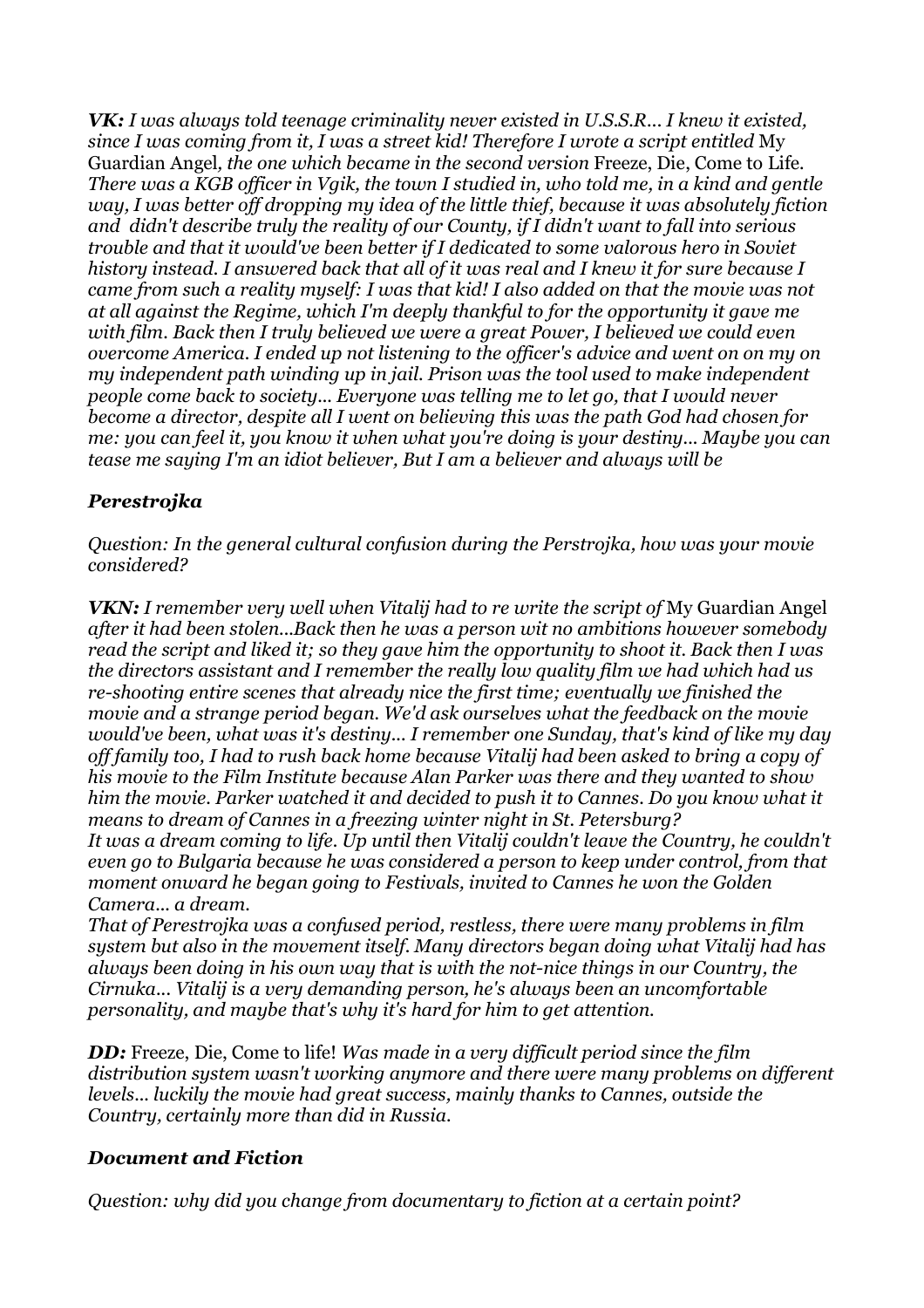*VK: I was always told teenage criminality never existed in U.S.S.R... I knew it existed, since I was coming from it, I was a street kid! Therefore I wrote a script entitled* My Guardian Angel*, the one which became in the second version* Freeze, Die, Come to Life*.* There was a KGB officer in Vgik, the town I studied in, who told me, in a kind and gentle *way, I was better off dropping my idea of the little thief, because it was absolutely fiction and didn't describe truly the reality of our County, if I didn't want to fall into serious trouble and that it would've been better if I dedicated to some valorous hero in Soviet history instead. I answered back that all of it was real and I knew it for sure because I came from such a reality myself: I was that kid! I also added on that the movie was not at all against the Regime, which I'm deeply thankful to for the opportunity it gave me with film. Back then I truly believed we were a great Power, I believed we could even overcome America. I ended up not listening to the officer's advice and went on on my on my independent path winding up in jail. Prison was the tool used to make independent people come back to society... Everyone was telling me to let go, that I would never become a director, despite all I went on believing this was the path God had chosen for me: you can feel it, you know it when what you're doing is your destiny... Maybe you can tease me saying I'm an idiot believer, But I am a believer and always will be*

## *Perestrojka*

*Question: In the general cultural confusion during the Perstrojka, how was your movie considered?*

*VKN: I remember very well when Vitalij had to re write the script of* My Guardian Angel *after it had been stolen...Back then he was a person wit no ambitions however somebody read the script and liked it; so they gave him the opportunity to shoot it. Back then I was the directors assistant and I remember the really low quality film we had which had us re-shooting entire scenes that already nice the first time; eventually we finished the movie and a strange period began. We'd ask ourselves what the feedback on the movie would've been, what was it's destiny... I remember one Sunday, that's kind of like my day off family too, I had to rush back home because Vitalij had been asked to bring a copy of his movie to the Film Institute because Alan Parker was there and they wanted to show him the movie. Parker watched it and decided to push it to Cannes. Do you know what it means to dream of Cannes in a freezing winter night in St. Petersburg? It was a dream coming to life. Up until then Vitalij couldn't leave the Country, he couldn't even go to Bulgaria because he was considered a person to keep under control, from that moment onward he began going to Festivals, invited to Cannes he won the Golden Camera... a dream.*

*That of Perestrojka was a confused period, restless, there were many problems in film system but also in the movement itself. Many directors began doing what Vitalij had has always been doing in his own way that is with the not-nice things in our Country, the Cirnuka... Vitalij is a very demanding person, he's always been an uncomfortable personality, and maybe that's why it's hard for him to get attention.*

*DD:* Freeze, Die, Come to life! *Was made in a very difficult period since the film distribution system wasn't working anymore and there were many problems on different levels... luckily the movie had great success, mainly thanks to Cannes, outside the Country, certainly more than did in Russia.*

### *Document and Fiction*

*Question: why did you change from documentary to fiction at a certain point?*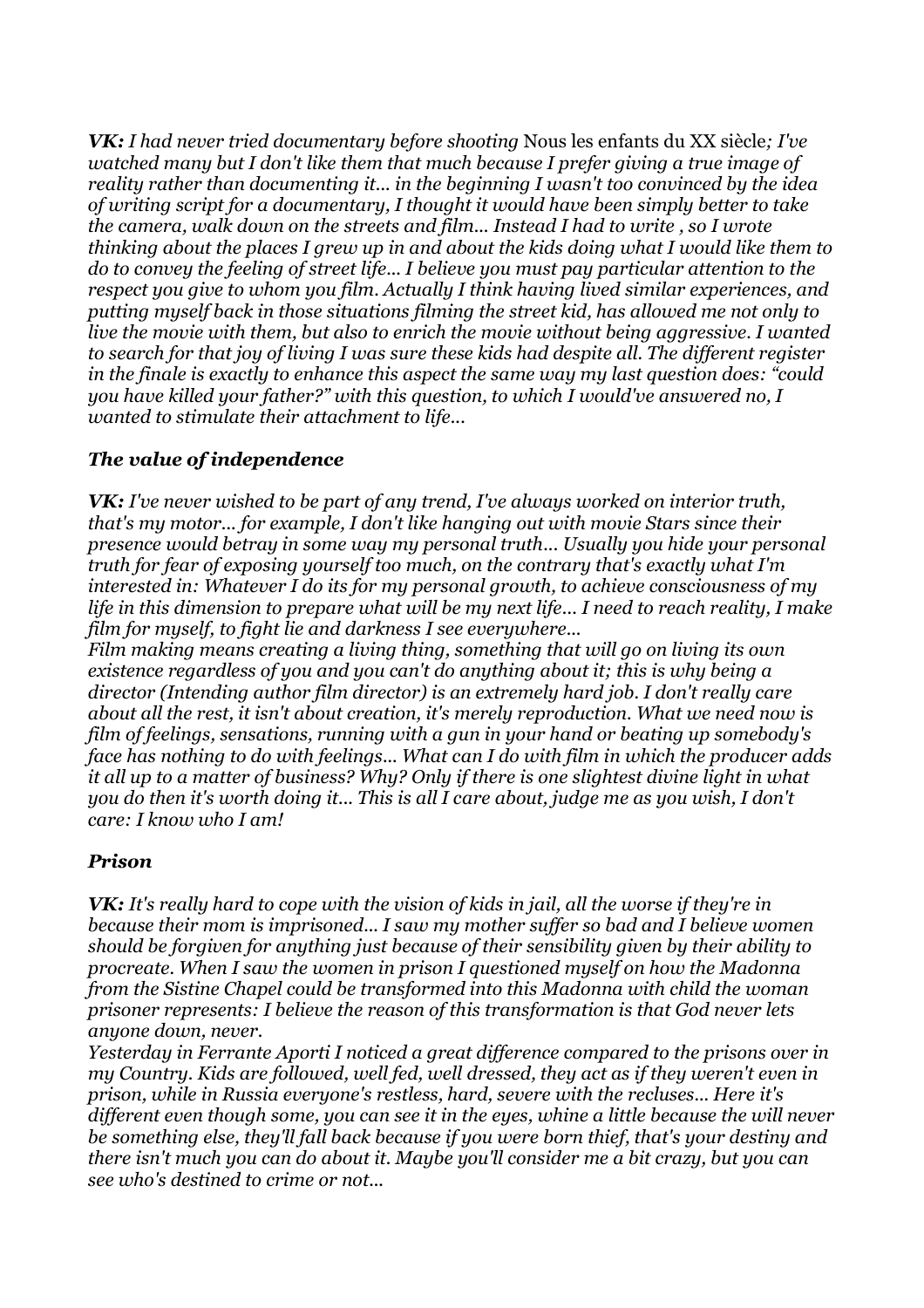*VK: I had never tried documentary before shooting* Nous les enfants du XX siècle*; I've watched many but I don't like them that much because I prefer giving a true image of reality rather than documenting it... in the beginning I wasn't too convinced by the idea of writing script for a documentary, I thought it would have been simply better to take the camera, walk down on the streets and film... Instead I had to write , so I wrote thinking about the places I grew up in and about the kids doing what I would like them to do to convey the feeling of street life... I believe you must pay particular attention to the respect you give to whom you film. Actually I think having lived similar experiences, and putting myself back in those situations filming the street kid, has allowed me not only to live the movie with them, but also to enrich the movie without being aggressive. I wanted to search for that joy of living I was sure these kids had despite all. The different register in the finale is exactly to enhance this aspect the same way my last question does: "could you have killed your father?" with this question, to which I would've answered no, I wanted to stimulate their attachment to life...*

### *The value of independence*

*VK: I've never wished to be part of any trend, I've always worked on interior truth, that's my motor... for example, I don't like hanging out with movie Stars since their presence would betray in some way my personal truth... Usually you hide your personal truth for fear of exposing yourself too much, on the contrary that's exactly what I'm interested in: Whatever I do its for my personal growth, to achieve consciousness of my life in this dimension to prepare what will be my next life... I need to reach reality, I make film for myself, to fight lie and darkness I see everywhere...*

*Film making means creating a living thing, something that will go on living its own existence regardless of you and you can't do anything about it; this is why being a director (Intending author film director) is an extremely hard job. I don't really care about all the rest, it isn't about creation, it's merely reproduction. What we need now is film of feelings, sensations, running with a gun in your hand or beating up somebody's face has nothing to do with feelings... What can I do with film in which the producer adds it all up to a matter of business? Why? Only if there is one slightest divine light in what* you do then it's worth doing it... This is all I care about, judge me as you wish, I don't *care: I know who I am!*

### *Prison*

*VK: It's really hard to cope with the vision of kids in jail, all the worse if they're in because their mom is imprisoned... I saw my mother suffer so bad and I believe women should be forgiven for anything just because of their sensibility given by their ability to procreate. When I saw the women in prison I questioned myself on how the Madonna from the Sistine Chapel could be transformed into this Madonna with child the woman prisoner represents: I believe the reason of this transformation is that God never lets anyone down, never.*

*Yesterday in Ferrante Aporti I noticed a great difference compared to the prisons over in my Country. Kids are followed, well fed, well dressed, they act as if they weren't even in prison, while in Russia everyone's restless, hard, severe with the recluses... Here it's different even though some, you can see it in the eyes, whine a little because the will never be something else, they'll fall back because if you were born thief, that's your destiny and there isn't much you can do about it. Maybe you'll consider me a bit crazy, but you can see who's destined to crime or not...*